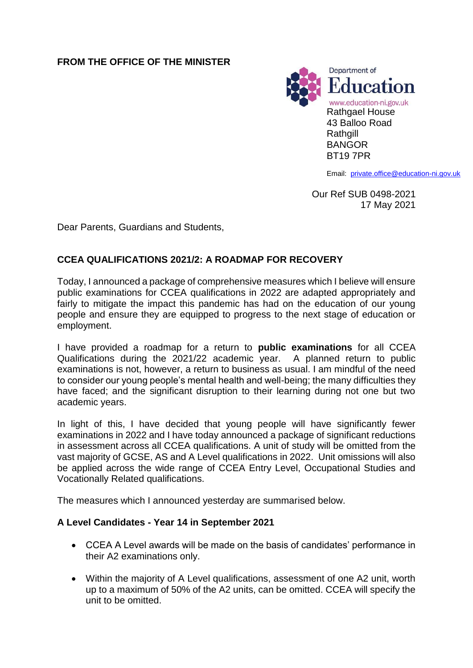# **FROM THE OFFICE OF THE MINISTER**



Email: [private.office@education-ni.gov.uk](mailto:private.office@education-ni.gov.uk)

Our Ref SUB 0498-2021 17 May 2021

Dear Parents, Guardians and Students,

# **CCEA QUALIFICATIONS 2021/2: A ROADMAP FOR RECOVERY**

Today, I announced a package of comprehensive measures which I believe will ensure public examinations for CCEA qualifications in 2022 are adapted appropriately and fairly to mitigate the impact this pandemic has had on the education of our young people and ensure they are equipped to progress to the next stage of education or employment.

I have provided a roadmap for a return to **public examinations** for all CCEA Qualifications during the 2021/22 academic year. A planned return to public examinations is not, however, a return to business as usual. I am mindful of the need to consider our young people's mental health and well-being; the many difficulties they have faced; and the significant disruption to their learning during not one but two academic years.

In light of this, I have decided that young people will have significantly fewer examinations in 2022 and I have today announced a package of significant reductions in assessment across all CCEA qualifications. A unit of study will be omitted from the vast majority of GCSE, AS and A Level qualifications in 2022. Unit omissions will also be applied across the wide range of CCEA Entry Level, Occupational Studies and Vocationally Related qualifications.

The measures which I announced yesterday are summarised below.

### **A Level Candidates - Year 14 in September 2021**

- CCEA A Level awards will be made on the basis of candidates' performance in their A2 examinations only.
- Within the majority of A Level qualifications, assessment of one A2 unit, worth up to a maximum of 50% of the A2 units, can be omitted. CCEA will specify the unit to be omitted.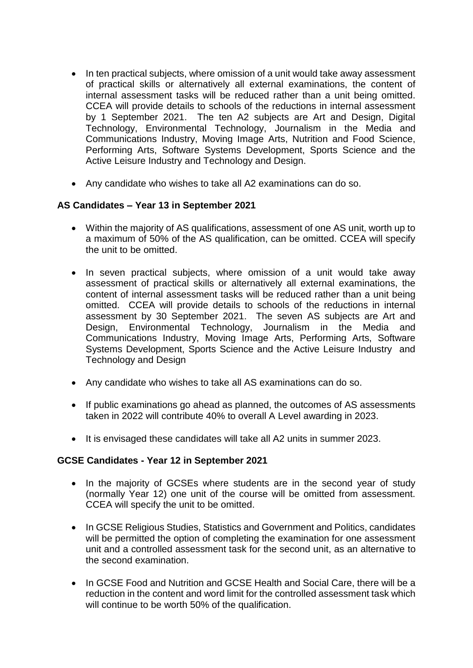- In ten practical subjects, where omission of a unit would take away assessment of practical skills or alternatively all external examinations, the content of internal assessment tasks will be reduced rather than a unit being omitted. CCEA will provide details to schools of the reductions in internal assessment by 1 September 2021. The ten A2 subjects are Art and Design, Digital Technology, Environmental Technology, Journalism in the Media and Communications Industry, Moving Image Arts, Nutrition and Food Science, Performing Arts, Software Systems Development, Sports Science and the Active Leisure Industry and Technology and Design.
- Any candidate who wishes to take all A2 examinations can do so.

### **AS Candidates – Year 13 in September 2021**

- Within the majority of AS qualifications, assessment of one AS unit, worth up to a maximum of 50% of the AS qualification, can be omitted. CCEA will specify the unit to be omitted.
- In seven practical subjects, where omission of a unit would take away assessment of practical skills or alternatively all external examinations, the content of internal assessment tasks will be reduced rather than a unit being omitted. CCEA will provide details to schools of the reductions in internal assessment by 30 September 2021. The seven AS subjects are Art and Design, Environmental Technology, Journalism in the Media and Communications Industry, Moving Image Arts, Performing Arts, Software Systems Development, Sports Science and the Active Leisure Industry and Technology and Design
- Any candidate who wishes to take all AS examinations can do so.
- If public examinations go ahead as planned, the outcomes of AS assessments taken in 2022 will contribute 40% to overall A Level awarding in 2023.
- It is envisaged these candidates will take all A2 units in summer 2023.

### **GCSE Candidates - Year 12 in September 2021**

- In the majority of GCSEs where students are in the second year of study (normally Year 12) one unit of the course will be omitted from assessment. CCEA will specify the unit to be omitted.
- In GCSE Religious Studies, Statistics and Government and Politics, candidates will be permitted the option of completing the examination for one assessment unit and a controlled assessment task for the second unit, as an alternative to the second examination.
- In GCSE Food and Nutrition and GCSE Health and Social Care, there will be a reduction in the content and word limit for the controlled assessment task which will continue to be worth 50% of the qualification.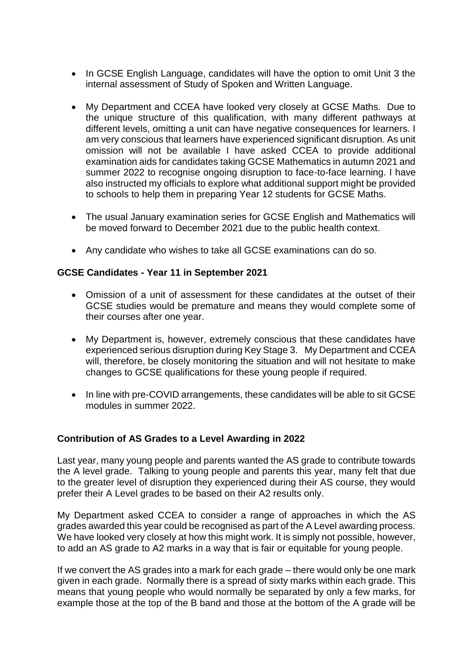- In GCSE English Language, candidates will have the option to omit Unit 3 the internal assessment of Study of Spoken and Written Language.
- My Department and CCEA have looked very closely at GCSE Maths. Due to the unique structure of this qualification, with many different pathways at different levels, omitting a unit can have negative consequences for learners. I am very conscious that learners have experienced significant disruption. As unit omission will not be available I have asked CCEA to provide additional examination aids for candidates taking GCSE Mathematics in autumn 2021 and summer 2022 to recognise ongoing disruption to face-to-face learning. I have also instructed my officials to explore what additional support might be provided to schools to help them in preparing Year 12 students for GCSE Maths.
- The usual January examination series for GCSE English and Mathematics will be moved forward to December 2021 due to the public health context.
- Any candidate who wishes to take all GCSE examinations can do so.

#### **GCSE Candidates - Year 11 in September 2021**

- Omission of a unit of assessment for these candidates at the outset of their GCSE studies would be premature and means they would complete some of their courses after one year.
- My Department is, however, extremely conscious that these candidates have experienced serious disruption during Key Stage 3. My Department and CCEA will, therefore, be closely monitoring the situation and will not hesitate to make changes to GCSE qualifications for these young people if required.
- In line with pre-COVID arrangements, these candidates will be able to sit GCSE modules in summer 2022.

### **Contribution of AS Grades to a Level Awarding in 2022**

Last year, many young people and parents wanted the AS grade to contribute towards the A level grade. Talking to young people and parents this year, many felt that due to the greater level of disruption they experienced during their AS course, they would prefer their A Level grades to be based on their A2 results only.

My Department asked CCEA to consider a range of approaches in which the AS grades awarded this year could be recognised as part of the A Level awarding process. We have looked very closely at how this might work. It is simply not possible, however, to add an AS grade to A2 marks in a way that is fair or equitable for young people.

If we convert the AS grades into a mark for each grade – there would only be one mark given in each grade. Normally there is a spread of sixty marks within each grade. This means that young people who would normally be separated by only a few marks, for example those at the top of the B band and those at the bottom of the A grade will be